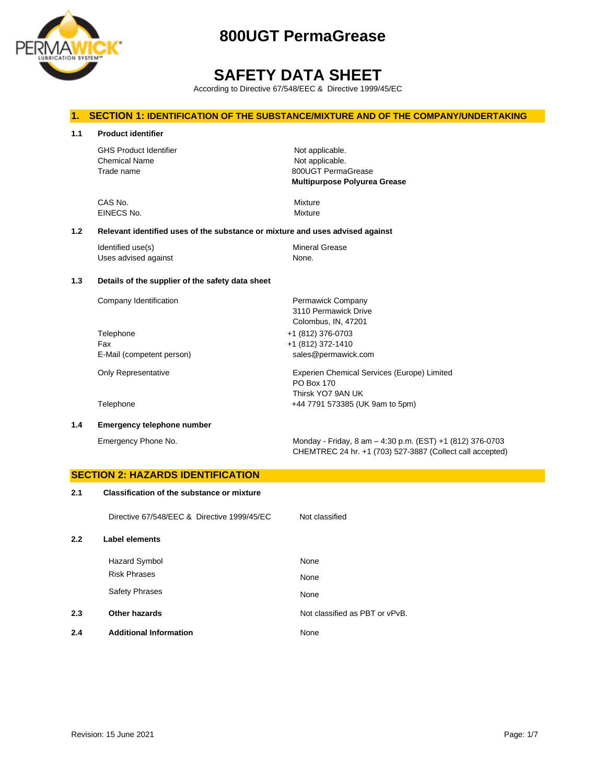

# **SAFETY DATA SHEET**

According to Directive 67/548/EEC & Directive 1999/45/EC

## **1. SECTION 1: IDENTIFICATION OF THE SUBSTANCE/MIXTURE AND OF THE COMPANY/UNDERTAKING**

| 1.1 | <b>Product identifier</b>                                                     |                                                                                                 |  |  |
|-----|-------------------------------------------------------------------------------|-------------------------------------------------------------------------------------------------|--|--|
|     | <b>GHS Product Identifier</b><br><b>Chemical Name</b><br>Trade name           | Not applicable.<br>Not applicable.<br>800UGT PermaGrease<br><b>Multipurpose Polyurea Grease</b> |  |  |
|     | CAS No.<br>EINECS No.                                                         | Mixture<br>Mixture                                                                              |  |  |
| 1.2 | Relevant identified uses of the substance or mixture and uses advised against |                                                                                                 |  |  |
|     | Identified use(s)<br>Uses advised against                                     | <b>Mineral Grease</b><br>None.                                                                  |  |  |
| 1.3 | Details of the supplier of the safety data sheet                              |                                                                                                 |  |  |
|     | Company Identification                                                        | Permawick Company<br>3110 Permawick Drive<br>Colombus, IN, 47201                                |  |  |
|     | Telephone                                                                     | +1 (812) 376-0703                                                                               |  |  |
|     | Fax                                                                           | +1 (812) 372-1410                                                                               |  |  |
|     | E-Mail (competent person)                                                     | sales@permawick.com                                                                             |  |  |
|     | Only Representative                                                           | Experien Chemical Services (Europe) Limited<br><b>PO Box 170</b><br>Thirsk YO7 9AN UK           |  |  |
|     | Telephone                                                                     | +44 7791 573385 (UK 9am to 5pm)                                                                 |  |  |

**1.4 Emergency telephone number**

Emergency Phone No. Monday - Friday, 8 am – 4:30 p.m. (EST) +1 (812) 376-0703 CHEMTREC 24 hr. +1 (703) 527-3887 (Collect call accepted)

# **SECTION 2: HAZARDS IDENTIFICATION 2.1 Classification of the substance or mixture** Directive 67/548/EEC & Directive 1999/45/EC Not classified **2.2 Label elements** Hazard Symbol None Risk Phrases None Safety Phrases None **2.3 Other hazards Details Other hazards Other hazards Not classified as PBT or vPvB. 2.4 Additional Information** None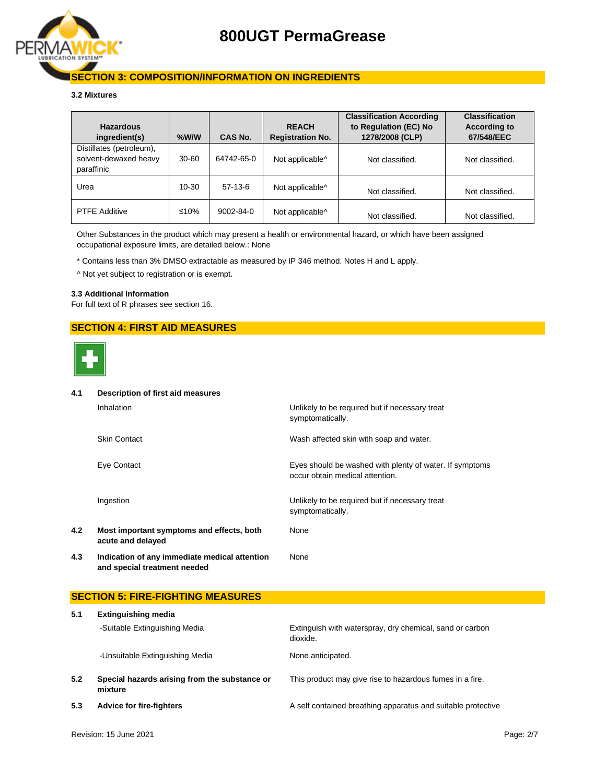

## **SECTION 3: COMPOSITION/INFORMATION ON INGREDIENTS**

### **3.2 Mixtures**

| <b>Hazardous</b><br>ingredient(s)                               | $%$ W/W   | CAS No.         | <b>REACH</b><br><b>Registration No.</b> | <b>Classification According</b><br>to Regulation (EC) No<br>1278/2008 (CLP) | <b>Classification</b><br><b>According to</b><br>67/548/EEC |
|-----------------------------------------------------------------|-----------|-----------------|-----------------------------------------|-----------------------------------------------------------------------------|------------------------------------------------------------|
| Distillates (petroleum),<br>solvent-dewaxed heavy<br>paraffinic | $30 - 60$ | 64742-65-0      | Not applicable^                         | Not classified.                                                             | Not classified.                                            |
| Urea                                                            | 10-30     | $57-13-6$       | Not applicable <sup>^</sup>             | Not classified.                                                             | Not classified.                                            |
| <b>PTFE Additive</b>                                            | ≤10%      | $9002 - 84 - 0$ | Not applicable <sup>^</sup>             | Not classified.                                                             | Not classified.                                            |

Other Substances in the product which may present a health or environmental hazard, or which have been assigned occupational exposure limits, are detailed below.: None

\* Contains less than 3% DMSO extractable as measured by IP 346 method. Notes H and L apply.

^ Not yet subject to registration or is exempt.

### **3.3 Additional Information**

For full text of R phrases see section 16.

## **SECTION 4: FIRST AID MEASURES**



#### **4.1 Description of first aid measures**

|     | Inhalation                                                                    | Unlikely to be required but if necessary treat<br>symptomatically.                         |
|-----|-------------------------------------------------------------------------------|--------------------------------------------------------------------------------------------|
|     | <b>Skin Contact</b>                                                           | Wash affected skin with soap and water.                                                    |
|     | Eye Contact                                                                   | Eyes should be washed with plenty of water. If symptoms<br>occur obtain medical attention. |
|     | Ingestion                                                                     | Unlikely to be required but if necessary treat<br>symptomatically.                         |
| 4.2 | Most important symptoms and effects, both<br>acute and delayed                | None                                                                                       |
| 4.3 | Indication of any immediate medical attention<br>and special treatment needed | None                                                                                       |

## **SECTION 5: FIRE-FIGHTING MEASURES**

| 5.1 | <b>Extinguishing media</b>                               |                                                                      |  |  |  |
|-----|----------------------------------------------------------|----------------------------------------------------------------------|--|--|--|
|     | -Suitable Extinguishing Media                            | Extinguish with waterspray, dry chemical, sand or carbon<br>dioxide. |  |  |  |
|     | -Unsuitable Extinguishing Media                          | None anticipated.                                                    |  |  |  |
| 5.2 | Special hazards arising from the substance or<br>mixture | This product may give rise to hazardous fumes in a fire.             |  |  |  |
| 5.3 | <b>Advice for fire-fighters</b>                          | A self contained breathing apparatus and suitable protective         |  |  |  |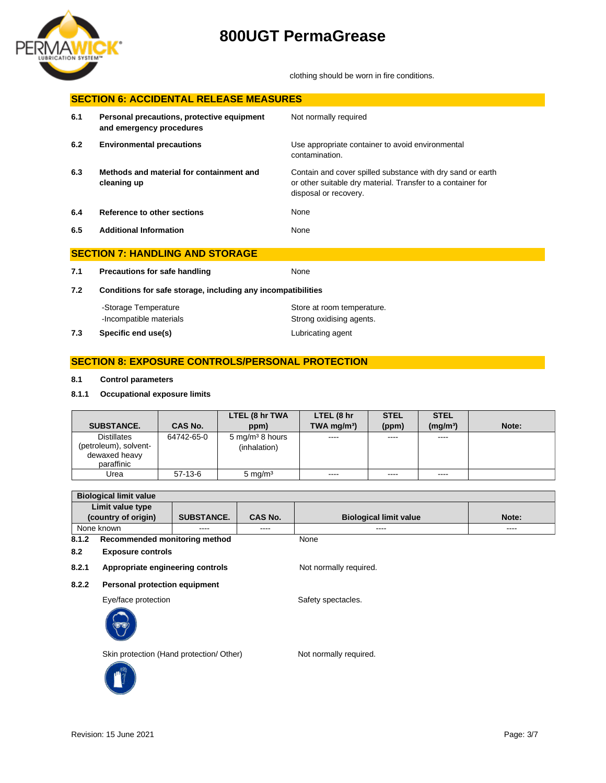

clothing should be worn in fire conditions.

| <b>SECTION 6: ACCIDENTAL RELEASE MEASURES</b> |                                                                        |                                                                                                                                                    |  |
|-----------------------------------------------|------------------------------------------------------------------------|----------------------------------------------------------------------------------------------------------------------------------------------------|--|
| 6.1                                           | Personal precautions, protective equipment<br>and emergency procedures | Not normally required                                                                                                                              |  |
| 6.2                                           | <b>Environmental precautions</b>                                       | Use appropriate container to avoid environmental<br>contamination.                                                                                 |  |
| 6.3                                           | Methods and material for containment and<br>cleaning up                | Contain and cover spilled substance with dry sand or earth<br>or other suitable dry material. Transfer to a container for<br>disposal or recovery. |  |
| 6.4                                           | <b>Reference to other sections</b>                                     | None                                                                                                                                               |  |
| 6.5                                           | <b>Additional Information</b>                                          | None                                                                                                                                               |  |
|                                               | <b>SECTION 7: HANDLING AND STORAGE</b>                                 |                                                                                                                                                    |  |
| 7.1                                           | <b>Precautions for safe handling</b>                                   | None                                                                                                                                               |  |
| 7.2                                           | Conditions for safe storage, including any incompatibilities           |                                                                                                                                                    |  |
|                                               | -Storage Temperature<br>-Incompatible materials                        | Store at room temperature.<br>Strong oxidising agents.                                                                                             |  |
| 7.3                                           | Specific end use(s)                                                    | Lubricating agent                                                                                                                                  |  |

## **SECTION 8: EXPOSURE CONTROLS/PERSONAL PROTECTION**

## **8.1 Control parameters**

**8.1.1 Occupational exposure limits**

| <b>SUBSTANCE.</b>                                                          | CAS No.    | LTEL (8 hr TWA<br>ppm)                        | LTEL (8 hr<br>TWA mg/m <sup>3</sup> )                                                                                                                                                                                                                                                                                                                                                                                                                                                  | <b>STEL</b><br>(ppm) | <b>STEL</b><br>(mq/m <sup>3</sup> ) | Note: |
|----------------------------------------------------------------------------|------------|-----------------------------------------------|----------------------------------------------------------------------------------------------------------------------------------------------------------------------------------------------------------------------------------------------------------------------------------------------------------------------------------------------------------------------------------------------------------------------------------------------------------------------------------------|----------------------|-------------------------------------|-------|
| <b>Distillates</b><br>(petroleum), solvent-<br>dewaxed heavy<br>paraffinic | 64742-65-0 | $5 \,\mathrm{mg/m^3}$ 8 hours<br>(inhalation) | $\begin{array}{cccccccccc} \multicolumn{2}{c}{} & \multicolumn{2}{c}{} & \multicolumn{2}{c}{} & \multicolumn{2}{c}{} & \multicolumn{2}{c}{} & \multicolumn{2}{c}{} & \multicolumn{2}{c}{} & \multicolumn{2}{c}{} & \multicolumn{2}{c}{} & \multicolumn{2}{c}{} & \multicolumn{2}{c}{} & \multicolumn{2}{c}{} & \multicolumn{2}{c}{} & \multicolumn{2}{c}{} & \multicolumn{2}{c}{} & \multicolumn{2}{c}{} & \multicolumn{2}{c}{} & \multicolumn{2}{c}{} & \multicolumn{2}{c}{} & \mult$ | ----                 | ----                                |       |
| Urea                                                                       | $57-13-6$  | $5 \text{ mg/m}^3$                            | $\frac{1}{2}$                                                                                                                                                                                                                                                                                                                                                                                                                                                                          | $- - - -$            | $\frac{1}{2}$                       |       |

| <b>Biological limit value</b>            |  |         |                               |       |
|------------------------------------------|--|---------|-------------------------------|-------|
| Limit value type                         |  |         |                               |       |
| (country of origin)<br><b>SUBSTANCE.</b> |  | CAS No. | <b>Biological limit value</b> | Note: |
| None known<br>$- - - -$                  |  | ----    | $- - - -$                     | ----  |
| 8.1.2<br>Recommended monitoring method   |  |         | None                          |       |

**8.2 Exposure controls**

8.2.1 **Appropriate engineering controls** Not normally required.

**8.2.2 Personal protection equipment**

Eye/face protection Safety spectacles.



Skin protection (Hand protection/ Other) Not normally required.

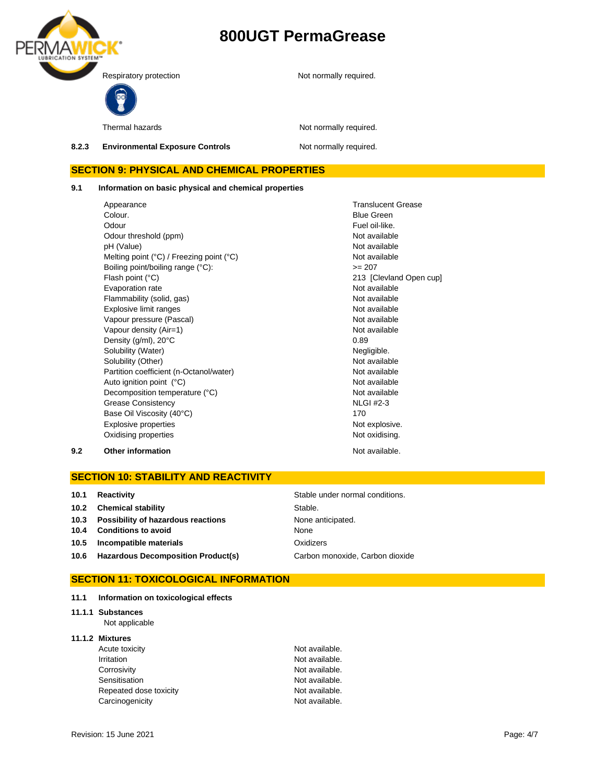

Thermal hazards **Not normally required.** 

8.2.3 **Environmental Exposure Controls** Not normally required.

## **SECTION 9: PHYSICAL AND CHEMICAL PROPERTIES**

**9.1 Information on basic physical and chemical properties**

Appearance Translucent Grease Translucent Grease Colour. **Blue Green** Odour **Fuel oil-like.** Odour threshold (ppm) Not available pH (Value)<br>
Mot available<br>
Melting point (°C) / Freezing point (°C)<br>
Mot available Melting point (°C) / Freezing point (°C) Boiling point/boiling range (°C):  $> = 207$ Flash point (°C) <br>
Evaporation rate entre a la contracte de la contracte de la contracte de la contracte de la contracte de la c<br>
Not available Evaporation rate Flammability (solid, gas) Not available Explosive limit ranges Not available Vapour pressure (Pascal) Not available Not available Vapour density (Air=1) Not available Density  $(g/ml)$ ,  $20^{\circ}$ C 0.89 Solubility (Water) Negligible. Solubility (Other)<br>
Partition coefficient (n-Octanol/water)<br>
Not available Partition coefficient (n-Octanol/water) Auto ignition point (°C) and the contract of the Not available Not available Decomposition temperature (°C) Not available Grease Consistency Base Oil Viscosity (40°C) Explosive properties **Notifiable 2018** Not explosive. Oxidising properties **Not oxidising.** Not oxidising.

NLGI #2-3 170

# **9.2 Other information Not available. Not available.**

## **SECTION 10: STABILITY AND REACTIVITY**

| 10.1 | Reactivity                              | Stable under normal conditions. |
|------|-----------------------------------------|---------------------------------|
|      | 10.2 Chemical stability                 | Stable.                         |
|      | 10.3 Possibility of hazardous reactions | None anticipated.               |
|      | 10.4 Conditions to avoid                | None                            |
|      | 10.5 Incompatible materials             | Oxidizers                       |
|      | 10.6 Hazardous Decomposition Product(s) | Carbon monoxide, Carbon dioxide |

## **SECTION 11: TOXICOLOGICAL INFORMATION**

- **11.1 Information on toxicological effects**
- **11.1.1 Substances**

Not applicable

### **11.1.2 Mixtures**

| Acute toxicity         | Not available. |
|------------------------|----------------|
| Irritation             | Not available. |
| Corrosivity            | Not available. |
| Sensitisation          | Not available. |
| Repeated dose toxicity | Not available. |
| Carcinogenicity        | Not available. |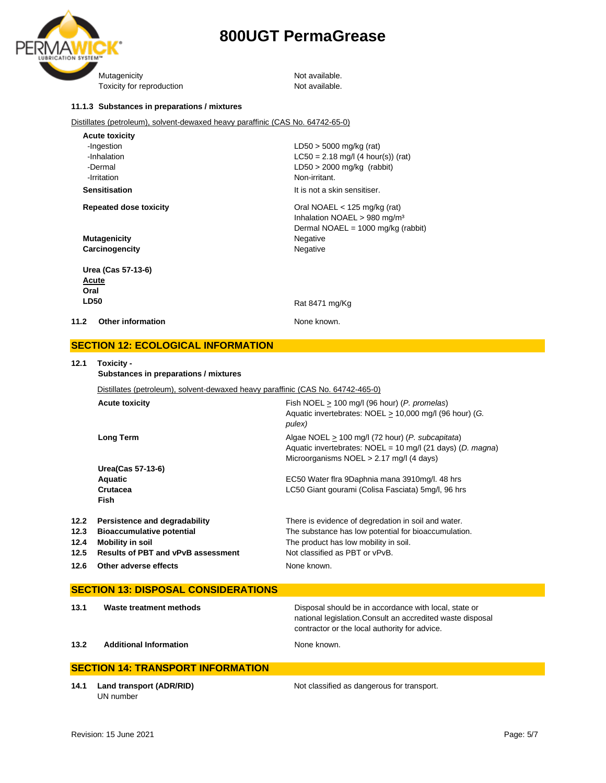

Toxicity for reproduction Toxicity for reproduction

#### **11.1.3 Substances in preparations / mixtures**

Distillates (petroleum), solvent-dewaxed heavy paraffinic (CAS No. 64742-65-0)

| <b>Acute toxicity</b>            |                                          |
|----------------------------------|------------------------------------------|
| -Ingestion                       | $LD50 > 5000$ mg/kg (rat)                |
| -Inhalation                      | $LC50 = 2.18$ mg/l (4 hour(s)) (rat)     |
| -Dermal                          | $LD50 > 2000$ mg/kg (rabbit)             |
| -Irritation                      | Non-irritant.                            |
| <b>Sensitisation</b>             | It is not a skin sensitiser.             |
| <b>Repeated dose toxicity</b>    | Oral NOAEL $<$ 125 mg/kg (rat)           |
|                                  | Inhalation NOAEL > 980 mg/m <sup>3</sup> |
|                                  | Dermal NOAEL = $1000$ mg/kg (rabbit)     |
| <b>Mutagenicity</b>              | Negative                                 |
| Carcinogencity                   | Negative                                 |
| Urea (Cas 57-13-6)               |                                          |
| Acute                            |                                          |
| Oral                             |                                          |
| <b>LD50</b>                      | Rat 8471 mg/Kg                           |
| 11.2<br><b>Other information</b> | None known.                              |
|                                  |                                          |

### **SECTION 12: ECOLOGICAL INFORMATION**

### **12.1 Toxicity -**

**Substances in preparations / mixtures**

Distillates (petroleum), solvent-dewaxed heavy paraffinic (CAS No. 64742-465-0)

|      | <b>Acute toxicity</b>                     | Fish NOEL $> 100$ mg/l (96 hour) (P. promelas)<br>Aquatic invertebrates: NOEL > 10,000 mg/l (96 hour) (G.<br>pulex)                                                   |
|------|-------------------------------------------|-----------------------------------------------------------------------------------------------------------------------------------------------------------------------|
|      | Long Term                                 | Algae NOEL > 100 mg/l (72 hour) ( <i>P. subcapitata</i> )<br>Aquatic invertebrates: $NOEL = 10$ mg/l (21 days) (D. magna)<br>Microorganisms NOEL > 2.17 mg/l (4 days) |
|      | Urea(Cas 57-13-6)                         |                                                                                                                                                                       |
|      | <b>Aquatic</b>                            | EC50 Water fira 9Daphnia mana 3910mg/l. 48 hrs                                                                                                                        |
|      | Crutacea                                  | LC50 Giant gourami (Colisa Fasciata) 5mg/l, 96 hrs                                                                                                                    |
|      | <b>Fish</b>                               |                                                                                                                                                                       |
| 12.2 | Persistence and degradability             | There is evidence of degredation in soil and water.                                                                                                                   |
| 12.3 | <b>Bioaccumulative potential</b>          | The substance has low potential for bioaccumulation.                                                                                                                  |
| 12.4 | <b>Mobility in soil</b>                   | The product has low mobility in soil.                                                                                                                                 |
| 12.5 | <b>Results of PBT and vPvB assessment</b> | Not classified as PBT or vPvB.                                                                                                                                        |
| 12.6 | Other adverse effects                     | None known.                                                                                                                                                           |

|                                          | <b>SECTION 13: DISPOSAL CONSIDERATIONS</b> |                                                                                                                                                                      |  |  |  |
|------------------------------------------|--------------------------------------------|----------------------------------------------------------------------------------------------------------------------------------------------------------------------|--|--|--|
| 13.1                                     | Waste treatment methods                    | Disposal should be in accordance with local, state or<br>national legislation. Consult an accredited waste disposal<br>contractor or the local authority for advice. |  |  |  |
| 13.2                                     | <b>Additional Information</b>              | None known.                                                                                                                                                          |  |  |  |
| <b>SECTION 14: TRANSPORT INFORMATION</b> |                                            |                                                                                                                                                                      |  |  |  |

**14.1 Land transport (ADR/RID)** Not classified as dangerous for transport. UN number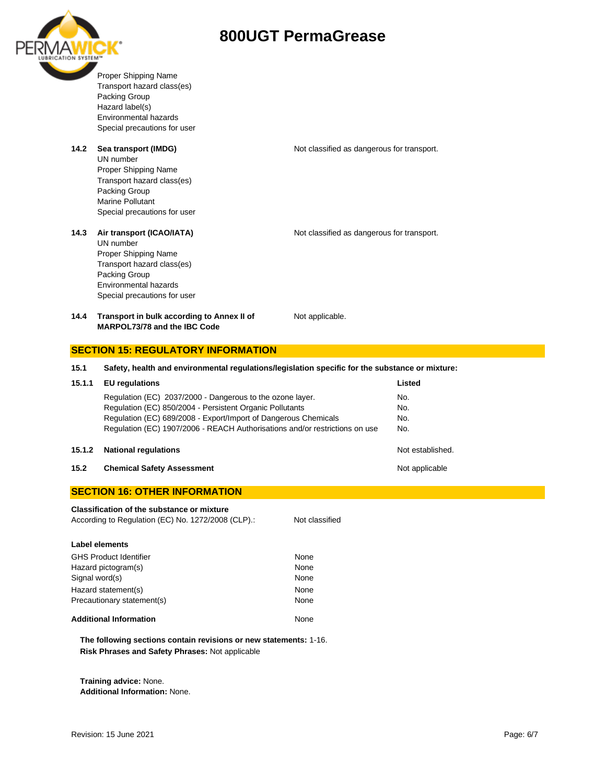



Proper Shipping Name Transport hazard class(es) Packing Group Hazard label(s) Environmental hazards Special precautions for user

### **14.2 Sea transport (IMDG)** Not classified as dangerous for transport.

UN number Proper Shipping Name Transport hazard class(es) Packing Group Marine Pollutant Special precautions for user

#### **14.3 Air transport (ICAO/IATA)** Not classified as dangerous for transport.

UN number Proper Shipping Name Transport hazard class(es) Packing Group Environmental hazards Special precautions for user

**14.4 Transport in bulk according to Annex II of MARPOL73/78 and the IBC Code**

Not applicable.

# **SECTION 15: REGULATORY INFORMATION 15.1 Safety, health and environmental regulations/legislation specific for the substance or mixture: 15.1.1 EU regulations Listed** Regulation (EC) 2037/2000 - Dangerous to the ozone layer. No. Regulation (EC) 850/2004 - Persistent Organic Pollutants No. Regulation (EC) 689/2008 - Export/Import of Dangerous Chemicals No. Regulation (EC) 1907/2006 - REACH Authorisations and/or restrictions on use No.

#### **15.1.2 National regulations** Not established.

**15.2 Chemical Safety Assessment 15.2 Chemical Safety Assessment** 

### **SECTION 16: OTHER INFORMATION**

**Classification of the substance or mixture** According to Regulation (EC) No. 1272/2008 (CLP).: Not classified **Label elements** GHS Product Identifier None Hazard pictogram(s) None Signal word(s) None Hazard statement(s) None Precautionary statement(s) None Additional Information **None** None

**The following sections contain revisions or new statements:** 1-16. **Risk Phrases and Safety Phrases:** Not applicable

**Training advice:** None. **Additional Information:** None.